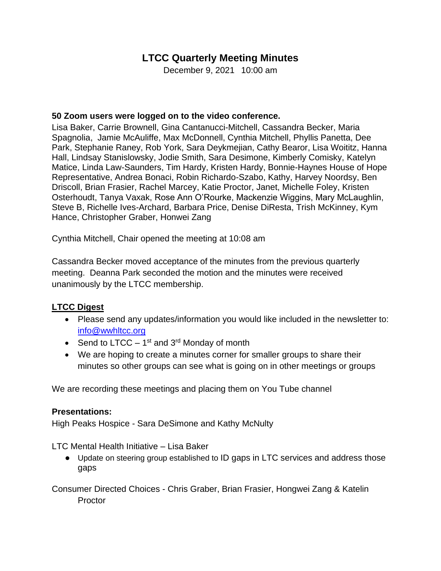# **LTCC Quarterly Meeting Minutes**

December 9, 2021 10:00 am

### **50 Zoom users were logged on to the video conference.**

Lisa Baker, Carrie Brownell, Gina Cantanucci-Mitchell, Cassandra Becker, Maria Spagnolia, Jamie McAuliffe, Max McDonnell, Cynthia Mitchell, Phyllis Panetta, Dee Park, Stephanie Raney, Rob York, Sara Deykmejian, Cathy Bearor, Lisa Woititz, Hanna Hall, Lindsay Stanislowsky, Jodie Smith, Sara Desimone, Kimberly Comisky, Katelyn Matice, Linda Law-Saunders, Tim Hardy, Kristen Hardy, Bonnie-Haynes House of Hope Representative, Andrea Bonaci, Robin Richardo-Szabo, Kathy, Harvey Noordsy, Ben Driscoll, Brian Frasier, Rachel Marcey, Katie Proctor, Janet, Michelle Foley, Kristen Osterhoudt, Tanya Vaxak, Rose Ann O'Rourke, Mackenzie Wiggins, Mary McLaughlin, Steve B, Richelle Ives-Archard, Barbara Price, Denise DiResta, Trish McKinney, Kym Hance, Christopher Graber, Honwei Zang

Cynthia Mitchell, Chair opened the meeting at 10:08 am

Cassandra Becker moved acceptance of the minutes from the previous quarterly meeting. Deanna Park seconded the motion and the minutes were received unanimously by the LTCC membership.

## **LTCC Digest**

- Please send any updates/information you would like included in the newsletter to: [info@wwhltcc.org](mailto:info@wwhltcc.org)
- Send to LTCC  $-1^{st}$  and 3<sup>rd</sup> Monday of month
- We are hoping to create a minutes corner for smaller groups to share their minutes so other groups can see what is going on in other meetings or groups

We are recording these meetings and placing them on You Tube channel

#### **Presentations:**

High Peaks Hospice - Sara DeSimone and Kathy McNulty

LTC Mental Health Initiative – Lisa Baker

● Update on steering group established to ID gaps in LTC services and address those gaps

Consumer Directed Choices - Chris Graber, Brian Frasier, Hongwei Zang & Katelin **Proctor**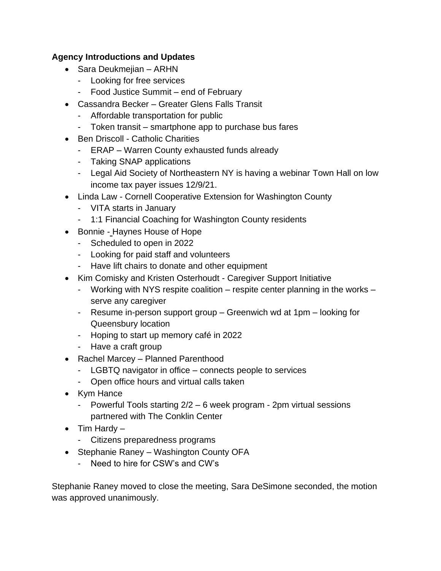## **Agency Introductions and Updates**

- Sara Deukmejian ARHN
	- Looking for free services
	- Food Justice Summit end of February
- Cassandra Becker Greater Glens Falls Transit
	- Affordable transportation for public
	- Token transit smartphone app to purchase bus fares
- Ben Driscoll Catholic Charities
	- ERAP Warren County exhausted funds already
	- Taking SNAP applications
	- Legal Aid Society of Northeastern NY is having a webinar Town Hall on low income tax payer issues 12/9/21.
- Linda Law Cornell Cooperative Extension for Washington County
	- VITA starts in January
	- 1:1 Financial Coaching for Washington County residents
- Bonnie Haynes House of Hope
	- Scheduled to open in 2022
	- Looking for paid staff and volunteers
	- Have lift chairs to donate and other equipment
- Kim Comisky and Kristen Osterhoudt Caregiver Support Initiative
	- Working with NYS respite coalition respite center planning in the works serve any caregiver
	- Resume in-person support group Greenwich wd at 1pm looking for Queensbury location
	- Hoping to start up memory café in 2022
	- Have a craft group
- Rachel Marcey Planned Parenthood
	- LGBTQ navigator in office connects people to services
	- Open office hours and virtual calls taken
- Kym Hance
	- Powerful Tools starting 2/2 6 week program 2pm virtual sessions partnered with The Conklin Center
- Tim Hardy
	- Citizens preparedness programs
- Stephanie Raney Washington County OFA
	- Need to hire for CSW's and CW's

Stephanie Raney moved to close the meeting, Sara DeSimone seconded, the motion was approved unanimously.